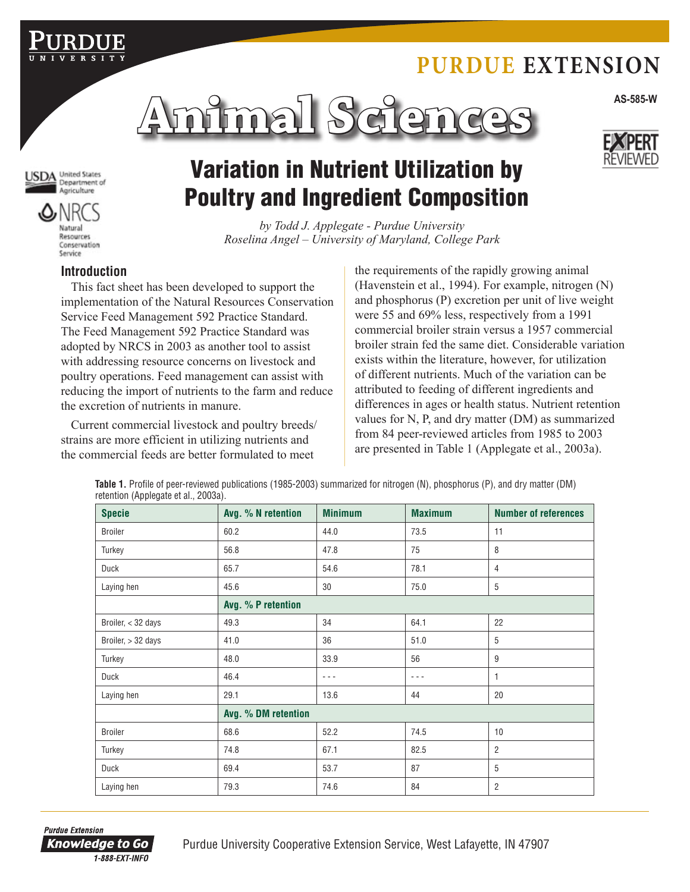# **Purdue Extension**





JSDA United States Agriculture



# Variation in Nutrient Utilization by Poultry and Ingredient Composition

*by Todd J. Applegate - Purdue University Roselina Angel – University of Maryland, College Park*

## **Introduction**

This fact sheet has been developed to support the implementation of the Natural Resources Conservation Service Feed Management 592 Practice Standard. The Feed Management 592 Practice Standard was adopted by NRCS in 2003 as another tool to assist with addressing resource concerns on livestock and poultry operations. Feed management can assist with reducing the import of nutrients to the farm and reduce the excretion of nutrients in manure.

Current commercial livestock and poultry breeds/ strains are more efficient in utilizing nutrients and the commercial feeds are better formulated to meet

the requirements of the rapidly growing animal (Havenstein et al., 1994). For example, nitrogen (N) and phosphorus (P) excretion per unit of live weight were 55 and 69% less, respectively from a 1991 commercial broiler strain versus a 1957 commercial broiler strain fed the same diet. Considerable variation exists within the literature, however, for utilization of different nutrients. Much of the variation can be attributed to feeding of different ingredients and differences in ages or health status. Nutrient retention values for N, P, and dry matter (DM) as summarized from 84 peer-reviewed articles from 1985 to 2003 are presented in Table 1 (Applegate et al., 2003a).

**Table 1.** Profile of peer-reviewed publications (1985-2003) summarized for nitrogen (N), phosphorus (P), and dry matter (DM) retention (Applegate et al., 2003a).

| <b>Specie</b>      | Avg. % N retention  | <b>Minimum</b> | <b>Maximum</b> | <b>Number of references</b> |
|--------------------|---------------------|----------------|----------------|-----------------------------|
| <b>Broiler</b>     | 60.2                | 44.0           | 73.5           | 11                          |
| Turkey             | 56.8                | 47.8           | 75             | 8                           |
| Duck               | 65.7                | 54.6           | 78.1           | $\overline{4}$              |
| Laying hen         | 45.6                | 30             | 75.0           | 5                           |
|                    | Avg. % P retention  |                |                |                             |
| Broiler, < 32 days | 49.3                | 34             | 64.1           | 22                          |
| Broiler, > 32 days | 41.0                | 36             | 51.0           | 5                           |
| Turkey             | 48.0                | 33.9           | 56             | 9                           |
| Duck               | 46.4                | ---            | $- - -$        | $\mathbf{1}$                |
| Laying hen         | 29.1                | 13.6           | 44             | 20                          |
|                    | Avg. % DM retention |                |                |                             |
| <b>Broiler</b>     | 68.6                | 52.2           | 74.5           | 10                          |
| Turkey             | 74.8                | 67.1           | 82.5           | $\overline{2}$              |
| Duck               | 69.4                | 53.7           | 87             | 5                           |
| Laying hen         | 79.3                | 74.6           | 84             | $\overline{2}$              |

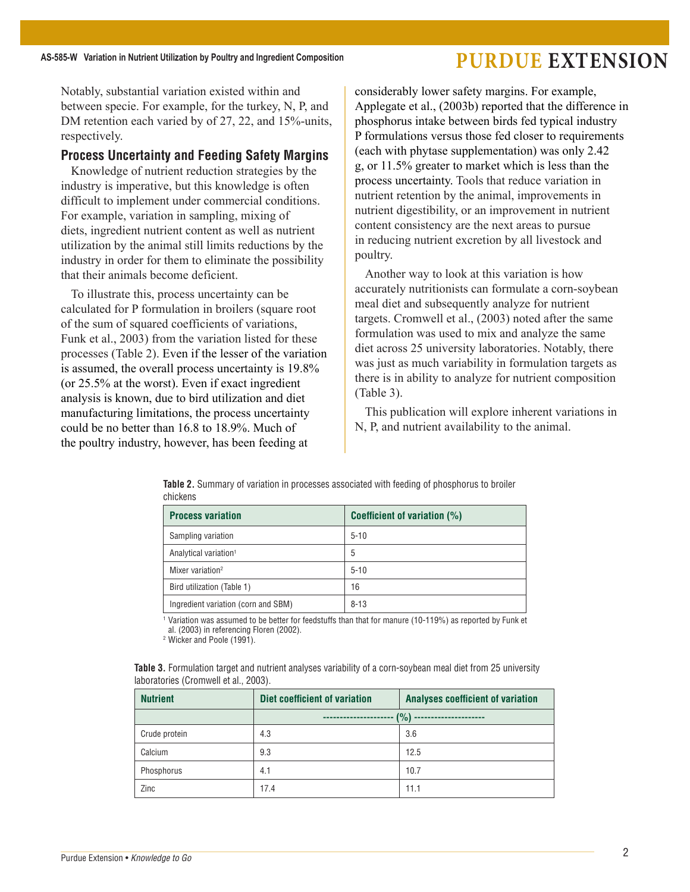Notably, substantial variation existed within and between specie. For example, for the turkey, N, P, and DM retention each varied by of 27, 22, and 15%-units, respectively.

## **Process Uncertainty and Feeding Safety Margins**

Knowledge of nutrient reduction strategies by the industry is imperative, but this knowledge is often difficult to implement under commercial conditions. For example, variation in sampling, mixing of diets, ingredient nutrient content as well as nutrient utilization by the animal still limits reductions by the industry in order for them to eliminate the possibility that their animals become deficient.

To illustrate this, process uncertainty can be calculated for P formulation in broilers (square root of the sum of squared coefficients of variations, Funk et al., 2003) from the variation listed for these processes (Table 2). Even if the lesser of the variation is assumed, the overall process uncertainty is 19.8% (or 25.5% at the worst). Even if exact ingredient analysis is known, due to bird utilization and diet manufacturing limitations, the process uncertainty could be no better than 16.8 to 18.9%. Much of the poultry industry, however, has been feeding at

considerably lower safety margins. For example, Applegate et al., (2003b) reported that the difference in phosphorus intake between birds fed typical industry P formulations versus those fed closer to requirements (each with phytase supplementation) was only 2.42 g, or 11.5% greater to market which is less than the process uncertainty. Tools that reduce variation in nutrient retention by the animal, improvements in nutrient digestibility, or an improvement in nutrient content consistency are the next areas to pursue in reducing nutrient excretion by all livestock and poultry.

Another way to look at this variation is how accurately nutritionists can formulate a corn-soybean meal diet and subsequently analyze for nutrient targets. Cromwell et al., (2003) noted after the same formulation was used to mix and analyze the same diet across 25 university laboratories. Notably, there was just as much variability in formulation targets as there is in ability to analyze for nutrient composition (Table 3).

This publication will explore inherent variations in N, P, and nutrient availability to the animal.

| <b>Process variation</b>            | Coefficient of variation (%) |
|-------------------------------------|------------------------------|
| Sampling variation                  | $5 - 10$                     |
| Analytical variation <sup>1</sup>   | 5                            |
| Mixer variation <sup>2</sup>        | $5 - 10$                     |
| Bird utilization (Table 1)          | 16                           |
| Ingredient variation (corn and SBM) | $8 - 13$                     |

**Table 2.** Summary of variation in processes associated with feeding of phosphorus to broiler chickens

<sup>1</sup> Variation was assumed to be better for feedstuffs than that for manure (10-119%) as reported by Funk et al. (2003) in referencing Floren (2002).

<sup>2</sup> Wicker and Poole (1991).

| <b>Table 3.</b> Formulation target and nutrient analyses variability of a corn-soybean meal diet from 25 university |  |  |  |  |  |
|---------------------------------------------------------------------------------------------------------------------|--|--|--|--|--|
| laboratories (Cromwell et al., 2003).                                                                               |  |  |  |  |  |

| <b>Nutrient</b> | Diet coefficient of variation | <b>Analyses coefficient of variation</b> |  |  |  |  |
|-----------------|-------------------------------|------------------------------------------|--|--|--|--|
|                 | (%)<br>--------------         |                                          |  |  |  |  |
| Crude protein   | 4.3                           | 3.6                                      |  |  |  |  |
| Calcium         | 9.3                           | 12.5                                     |  |  |  |  |
| Phosphorus      | 4.1                           | 10.7                                     |  |  |  |  |
| Zinc            | 17.4                          | 11.1                                     |  |  |  |  |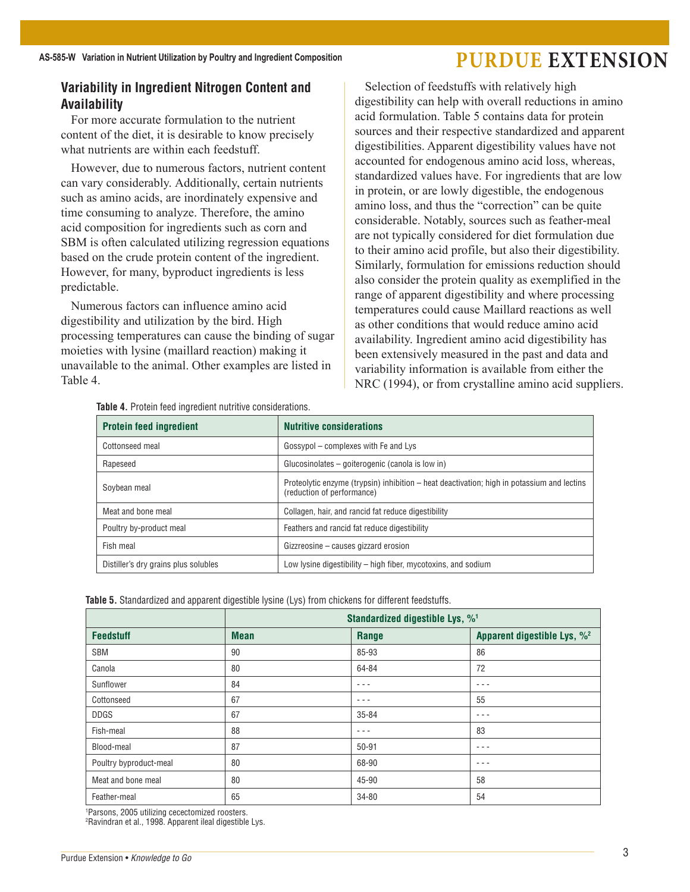## **Variability in Ingredient Nitrogen Content and Availability**

For more accurate formulation to the nutrient content of the diet, it is desirable to know precisely what nutrients are within each feedstuff.

However, due to numerous factors, nutrient content can vary considerably. Additionally, certain nutrients such as amino acids, are inordinately expensive and time consuming to analyze. Therefore, the amino acid composition for ingredients such as corn and SBM is often calculated utilizing regression equations based on the crude protein content of the ingredient. However, for many, byproduct ingredients is less predictable.

Numerous factors can influence amino acid digestibility and utilization by the bird. High processing temperatures can cause the binding of sugar moieties with lysine (maillard reaction) making it unavailable to the animal. Other examples are listed in Table 4.

Selection of feedstuffs with relatively high digestibility can help with overall reductions in amino acid formulation. Table 5 contains data for protein sources and their respective standardized and apparent digestibilities. Apparent digestibility values have not accounted for endogenous amino acid loss, whereas, standardized values have. For ingredients that are low in protein, or are lowly digestible, the endogenous amino loss, and thus the "correction" can be quite considerable. Notably, sources such as feather-meal are not typically considered for diet formulation due to their amino acid profile, but also their digestibility. Similarly, formulation for emissions reduction should also consider the protein quality as exemplified in the range of apparent digestibility and where processing temperatures could cause Maillard reactions as well as other conditions that would reduce amino acid availability. Ingredient amino acid digestibility has been extensively measured in the past and data and variability information is available from either the NRC (1994), or from crystalline amino acid suppliers.

|  |  |  |  |  |  |  | <b>Table 4.</b> Protein feed ingredient nutritive considerations. |  |
|--|--|--|--|--|--|--|-------------------------------------------------------------------|--|
|--|--|--|--|--|--|--|-------------------------------------------------------------------|--|

| <b>Protein feed ingredient</b>       | <b>Nutritive considerations</b>                                                                                          |
|--------------------------------------|--------------------------------------------------------------------------------------------------------------------------|
| Cottonseed meal                      | Gossypol - complexes with Fe and Lys                                                                                     |
| Rapeseed                             | Glucosinolates – goiterogenic (canola is low in)                                                                         |
| Soybean meal                         | Proteolytic enzyme (trypsin) inhibition – heat deactivation; high in potassium and lectins<br>(reduction of performance) |
| Meat and bone meal                   | Collagen, hair, and rancid fat reduce digestibility                                                                      |
| Poultry by-product meal              | Feathers and rancid fat reduce digestibility                                                                             |
| Fish meal                            | Gizzreosine – causes gizzard erosion                                                                                     |
| Distiller's dry grains plus solubles | Low lysine digestibility - high fiber, mycotoxins, and sodium                                                            |

|  |  |  |  | Table 5. Standardized and apparent digestible lysine (Lys) from chickens for different feedstuffs. |
|--|--|--|--|----------------------------------------------------------------------------------------------------|
|  |  |  |  |                                                                                                    |

|                        |             | Standardized digestible Lys, % <sup>1</sup> |         |
|------------------------|-------------|---------------------------------------------|---------|
| <b>Feedstuff</b>       | <b>Mean</b> | Apparent digestible Lys, % <sup>2</sup>     |         |
| SBM                    | 90          | 85-93                                       | 86      |
| Canola                 | 80          | 64-84                                       | 72      |
| Sunflower              | 84          | $- - -$                                     | $- - -$ |
| Cottonseed             | 67          | $- - -$                                     | 55      |
| <b>DDGS</b>            | 67          | 35-84                                       | $- - -$ |
| Fish-meal              | 88          | $- - -$                                     | 83      |
| Blood-meal             | 87          | $50 - 91$                                   | $- - -$ |
| Poultry byproduct-meal | 80          | 68-90                                       | $- - -$ |
| Meat and bone meal     | 80          | 45-90                                       | 58      |
| Feather-meal           | 65          | 34-80                                       | 54      |

1 Parsons, 2005 utilizing cecectomized roosters.

2 Ravindran et al., 1998. Apparent ileal digestible Lys.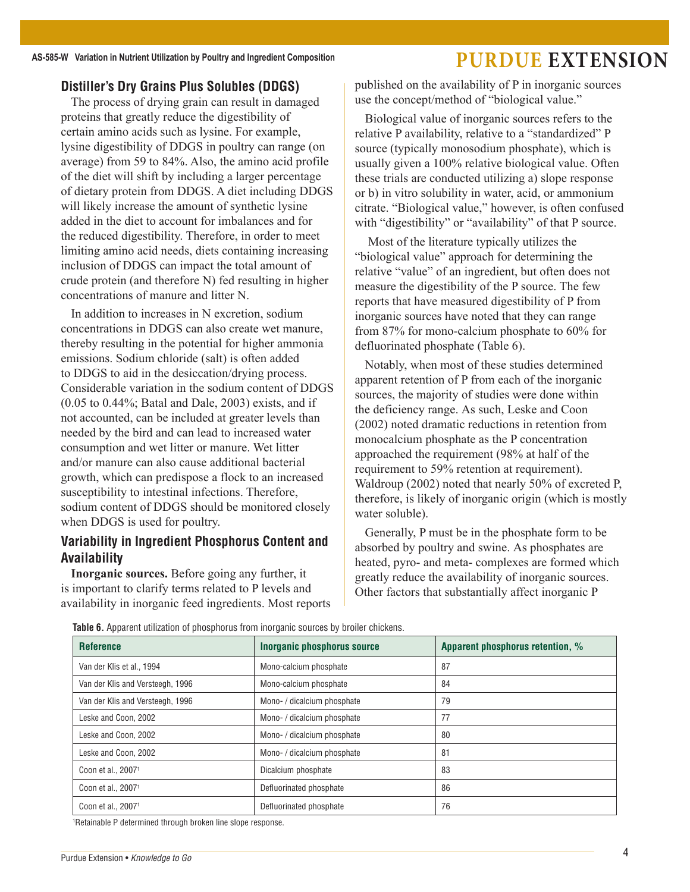## **Distiller's Dry Grains Plus Solubles (DDGS)**

The process of drying grain can result in damaged proteins that greatly reduce the digestibility of certain amino acids such as lysine. For example, lysine digestibility of DDGS in poultry can range (on average) from 59 to 84%. Also, the amino acid profile of the diet will shift by including a larger percentage of dietary protein from DDGS. A diet including DDGS will likely increase the amount of synthetic lysine added in the diet to account for imbalances and for the reduced digestibility. Therefore, in order to meet limiting amino acid needs, diets containing increasing inclusion of DDGS can impact the total amount of crude protein (and therefore N) fed resulting in higher concentrations of manure and litter N.

In addition to increases in N excretion, sodium concentrations in DDGS can also create wet manure, thereby resulting in the potential for higher ammonia emissions. Sodium chloride (salt) is often added to DDGS to aid in the desiccation/drying process. Considerable variation in the sodium content of DDGS (0.05 to 0.44%; Batal and Dale, 2003) exists, and if not accounted, can be included at greater levels than needed by the bird and can lead to increased water consumption and wet litter or manure. Wet litter and/or manure can also cause additional bacterial growth, which can predispose a flock to an increased susceptibility to intestinal infections. Therefore, sodium content of DDGS should be monitored closely when DDGS is used for poultry.

## **Variability in Ingredient Phosphorus Content and Availability**

**Inorganic sources.** Before going any further, it is important to clarify terms related to P levels and availability in inorganic feed ingredients. Most reports published on the availability of P in inorganic sources use the concept/method of "biological value."

Biological value of inorganic sources refers to the relative P availability, relative to a "standardized" P source (typically monosodium phosphate), which is usually given a 100% relative biological value. Often these trials are conducted utilizing a) slope response or b) in vitro solubility in water, acid, or ammonium citrate. "Biological value," however, is often confused with "digestibility" or "availability" of that P source.

Most of the literature typically utilizes the "biological value" approach for determining the relative "value" of an ingredient, but often does not measure the digestibility of the P source. The few reports that have measured digestibility of P from inorganic sources have noted that they can range from 87% for mono-calcium phosphate to 60% for defluorinated phosphate (Table 6).

Notably, when most of these studies determined apparent retention of P from each of the inorganic sources, the majority of studies were done within the deficiency range. As such, Leske and Coon (2002) noted dramatic reductions in retention from monocalcium phosphate as the P concentration approached the requirement (98% at half of the requirement to 59% retention at requirement). Waldroup (2002) noted that nearly 50% of excreted P, therefore, is likely of inorganic origin (which is mostly water soluble).

Generally, P must be in the phosphate form to be absorbed by poultry and swine. As phosphates are heated, pyro- and meta- complexes are formed which greatly reduce the availability of inorganic sources. Other factors that substantially affect inorganic P

| <b>Reference</b>                 | Inorganic phosphorus source | Apparent phosphorus retention, % |
|----------------------------------|-----------------------------|----------------------------------|
| Van der Klis et al., 1994        | Mono-calcium phosphate      | 87                               |
| Van der Klis and Versteegh, 1996 | Mono-calcium phosphate      | 84                               |
| Van der Klis and Versteegh, 1996 | Mono- / dicalcium phosphate | 79                               |
| Leske and Coon, 2002             | Mono- / dicalcium phosphate | 77                               |
| Leske and Coon, 2002             | Mono- / dicalcium phosphate | 80                               |
| Leske and Coon, 2002             | Mono- / dicalcium phosphate | 81                               |
| Coon et al., 2007 <sup>1</sup>   | Dicalcium phosphate         | 83                               |
| Coon et al., 2007 <sup>1</sup>   | Defluorinated phosphate     | 86                               |
| Coon et al., 2007 <sup>1</sup>   | Defluorinated phosphate     | 76                               |

**Table 6.** Apparent utilization of phosphorus from inorganic sources by broiler chickens.

1 Retainable P determined through broken line slope response.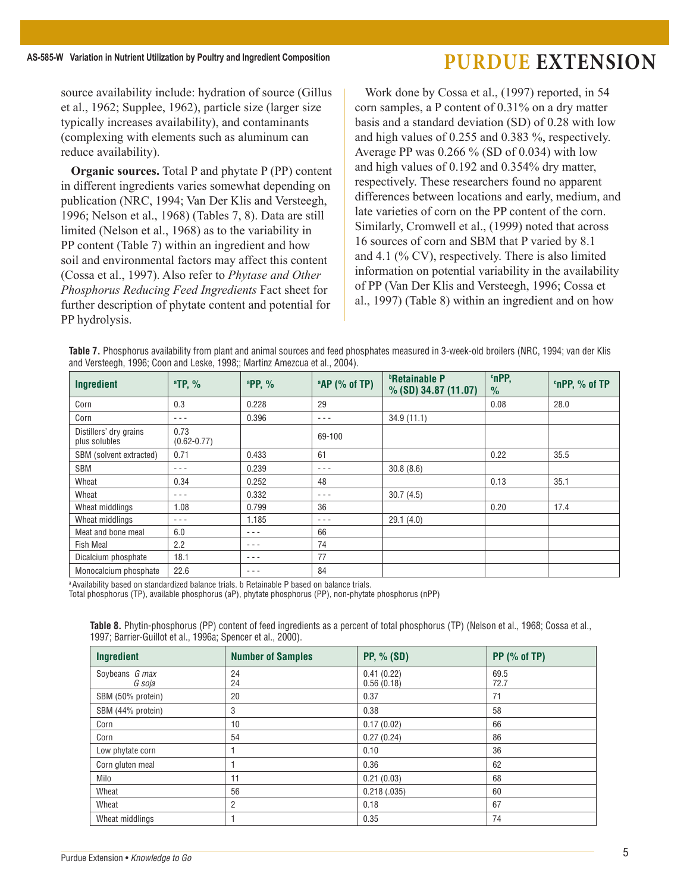source availability include: hydration of source (Gillus et al., 1962; Supplee, 1962), particle size (larger size typically increases availability), and contaminants (complexing with elements such as aluminum can reduce availability).

**Organic sources.** Total P and phytate P (PP) content in different ingredients varies somewhat depending on publication (NRC, 1994; Van Der Klis and Versteegh, 1996; Nelson et al., 1968) (Tables 7, 8). Data are still limited (Nelson et al., 1968) as to the variability in PP content (Table 7) within an ingredient and how soil and environmental factors may affect this content (Cossa et al., 1997). Also refer to *Phytase and Other Phosphorus Reducing Feed Ingredients* Fact sheet for further description of phytate content and potential for PP hydrolysis.

Work done by Cossa et al., (1997) reported, in 54 corn samples, a P content of 0.31% on a dry matter basis and a standard deviation (SD) of 0.28 with low and high values of 0.255 and 0.383 %, respectively. Average PP was 0.266 % (SD of 0.034) with low and high values of 0.192 and 0.354% dry matter, respectively. These researchers found no apparent differences between locations and early, medium, and late varieties of corn on the PP content of the corn. Similarly, Cromwell et al., (1999) noted that across 16 sources of corn and SBM that P varied by 8.1 and 4.1 (% CV), respectively. There is also limited information on potential variability in the availability of PP (Van Der Klis and Versteegh, 1996; Cossa et al., 1997) (Table 8) within an ingredient and on how

|  | Table 7. Phosphorus availability from plant and animal sources and feed phosphates measured in 3-week-old broilers (NRC, 1994; van der Klis |  |  |
|--|---------------------------------------------------------------------------------------------------------------------------------------------|--|--|
|  | and Versteegh, 1996; Coon and Leske, 1998;; Martinz Amezcua et al., 2004).                                                                  |  |  |

| Ingredient                              | $^a$ TP, %              | <sup>a</sup> PP, % | $^{\circ}$ AP (% of TP) | <b><i><b>P</b></i></b> Retainable P<br>$%$ (SD) 34.87 (11.07) | <b>cnPP,</b><br>$\%$ | <sup>c</sup> nPP, % of TP |
|-----------------------------------------|-------------------------|--------------------|-------------------------|---------------------------------------------------------------|----------------------|---------------------------|
| Corn                                    | 0.3                     | 0.228              | 29                      |                                                               | 0.08                 | 28.0                      |
| Corn                                    | $- - -$                 | 0.396              | $- - -$                 | 34.9(11.1)                                                    |                      |                           |
| Distillers' dry grains<br>plus solubles | 0.73<br>$(0.62 - 0.77)$ |                    | 69-100                  |                                                               |                      |                           |
| SBM (solvent extracted)                 | 0.71                    | 0.433              | 61                      |                                                               | 0.22                 | 35.5                      |
| <b>SBM</b>                              | $- - -$                 | 0.239              | $- - -$                 | 30.8(8.6)                                                     |                      |                           |
| Wheat                                   | 0.34                    | 0.252              | 48                      |                                                               | 0.13                 | 35.1                      |
| Wheat                                   | - - -                   | 0.332              | $- - -$                 | 30.7(4.5)                                                     |                      |                           |
| Wheat middlings                         | 1.08                    | 0.799              | 36                      |                                                               | 0.20                 | 17.4                      |
| Wheat middlings                         | - - -                   | 1.185              | $- - -$                 | 29.1(4.0)                                                     |                      |                           |
| Meat and bone meal                      | 6.0                     | $- - -$            | 66                      |                                                               |                      |                           |
| <b>Fish Meal</b>                        | 2.2                     | - - -              | 74                      |                                                               |                      |                           |
| Dicalcium phosphate                     | 18.1                    | $- - -$            | 77                      |                                                               |                      |                           |
| Monocalcium phosphate                   | 22.6                    | - - -              | 84                      |                                                               |                      |                           |

a Availability based on standardized balance trials. b Retainable P based on balance trials.

Total phosphorus (TP), available phosphorus (aP), phytate phosphorus (PP), non-phytate phosphorus (nPP)

| Table 8. Phytin-phosphorus (PP) content of feed ingredients as a percent of total phosphorus (TP) (Nelson et al., 1968; Cossa et al., |  |  |  |  |  |  |
|---------------------------------------------------------------------------------------------------------------------------------------|--|--|--|--|--|--|
| 1997; Barrier-Guillot et al., 1996a; Spencer et al., 2000).                                                                           |  |  |  |  |  |  |

| Ingredient                      | <b>Number of Samples</b> | <b>PP, % (SD)</b>        | $PP$ (% of TP) |
|---------------------------------|--------------------------|--------------------------|----------------|
| Soybeans <i>G max</i><br>G soja | 24<br>24                 | 0.41(0.22)<br>0.56(0.18) | 69.5<br>72.7   |
| SBM (50% protein)               | 20                       | 0.37                     | 71             |
| SBM (44% protein)               | 3                        | 0.38                     | 58             |
| Corn                            | 10                       | 0.17(0.02)               | 66             |
| Corn                            | 54                       | 0.27(0.24)               | 86             |
| Low phytate corn                |                          | 0.10                     | 36             |
| Corn gluten meal                |                          | 0.36                     | 62             |
| Milo                            | 11                       | 0.21(0.03)               | 68             |
| Wheat                           | 56                       | 0.218(.035)              | 60             |
| Wheat                           | $\overline{2}$           | 0.18                     | 67             |
| Wheat middlings                 |                          | 0.35                     | 74             |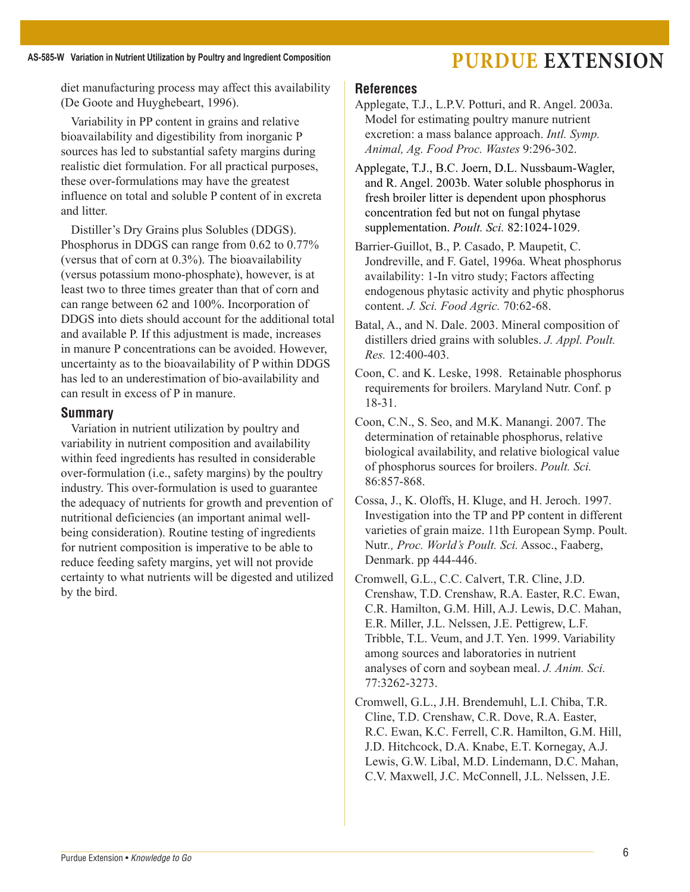diet manufacturing process may affect this availability (De Goote and Huyghebeart, 1996).

Variability in PP content in grains and relative bioavailability and digestibility from inorganic P sources has led to substantial safety margins during realistic diet formulation. For all practical purposes, these over-formulations may have the greatest influence on total and soluble P content of in excreta and litter.

Distiller's Dry Grains plus Solubles (DDGS). Phosphorus in DDGS can range from 0.62 to 0.77% (versus that of corn at 0.3%). The bioavailability (versus potassium mono-phosphate), however, is at least two to three times greater than that of corn and can range between 62 and 100%. Incorporation of DDGS into diets should account for the additional total and available P. If this adjustment is made, increases in manure P concentrations can be avoided. However, uncertainty as to the bioavailability of P within DDGS has led to an underestimation of bio-availability and can result in excess of P in manure.

## **Summary**

Variation in nutrient utilization by poultry and variability in nutrient composition and availability within feed ingredients has resulted in considerable over-formulation (i.e., safety margins) by the poultry industry. This over-formulation is used to guarantee the adequacy of nutrients for growth and prevention of nutritional deficiencies (an important animal wellbeing consideration). Routine testing of ingredients for nutrient composition is imperative to be able to reduce feeding safety margins, yet will not provide certainty to what nutrients will be digested and utilized by the bird.

## **References**

- Applegate, T.J., L.P.V. Potturi, and R. Angel. 2003a. Model for estimating poultry manure nutrient excretion: a mass balance approach. *Intl. Symp. Animal, Ag. Food Proc. Wastes* 9:296-302.
- Applegate, T.J., B.C. Joern, D.L. Nussbaum-Wagler, and R. Angel. 2003b. Water soluble phosphorus in fresh broiler litter is dependent upon phosphorus concentration fed but not on fungal phytase supplementation. *Poult. Sci.* 82:1024-1029.
- Barrier-Guillot, B., P. Casado, P. Maupetit, C. Jondreville, and F. Gatel, 1996a. Wheat phosphorus availability: 1-In vitro study; Factors affecting endogenous phytasic activity and phytic phosphorus content. *J. Sci. Food Agric.* 70:62-68.
- Batal, A., and N. Dale. 2003. Mineral composition of distillers dried grains with solubles. *J. Appl. Poult. Res.* 12:400-403.
- Coon, C. and K. Leske, 1998. Retainable phosphorus requirements for broilers. Maryland Nutr. Conf. p 18-31.
- Coon, C.N., S. Seo, and M.K. Manangi. 2007. The determination of retainable phosphorus, relative biological availability, and relative biological value of phosphorus sources for broilers. *Poult. Sci.* 86:857-868.
- Cossa, J., K. Oloffs, H. Kluge, and H. Jeroch. 1997. Investigation into the TP and PP content in different varieties of grain maize. 11th European Symp. Poult. Nutr*., Proc. World's Poult. Sci.* Assoc., Faaberg, Denmark. pp 444-446.
- Cromwell, G.L., C.C. Calvert, T.R. Cline, J.D. Crenshaw, T.D. Crenshaw, R.A. Easter, R.C. Ewan, C.R. Hamilton, G.M. Hill, A.J. Lewis, D.C. Mahan, E.R. Miller, J.L. Nelssen, J.E. Pettigrew, L.F. Tribble, T.L. Veum, and J.T. Yen. 1999. Variability among sources and laboratories in nutrient analyses of corn and soybean meal. *J. Anim. Sci.* 77:3262-3273.
- Cromwell, G.L., J.H. Brendemuhl, L.I. Chiba, T.R. Cline, T.D. Crenshaw, C.R. Dove, R.A. Easter, R.C. Ewan, K.C. Ferrell, C.R. Hamilton, G.M. Hill, J.D. Hitchcock, D.A. Knabe, E.T. Kornegay, A.J. Lewis, G.W. Libal, M.D. Lindemann, D.C. Mahan, C.V. Maxwell, J.C. McConnell, J.L. Nelssen, J.E.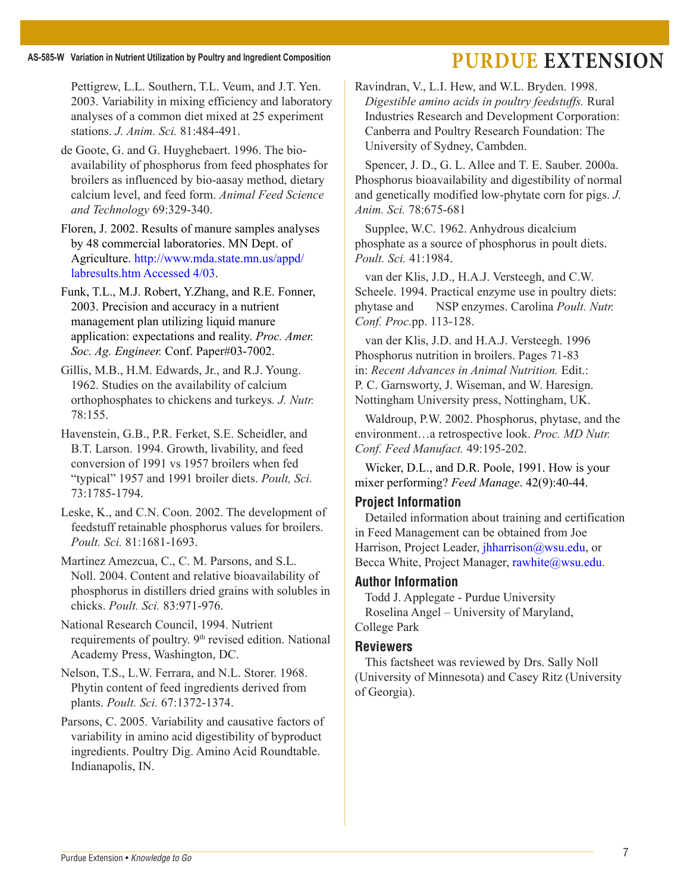Pettigrew, L.L. Southern, T.L. Veum, and J.T. Yen. 2003. Variability in mixing efficiency and laboratory analyses of a common diet mixed at 25 experiment stations. *J. Anim. Sci.* 81:484-491.

de Goote, G. and G. Huyghebaert. 1996. The bioavailability of phosphorus from feed phosphates for broilers as influenced by bio-aasay method, dietary calcium level, and feed form. *Animal Feed Science and Technology* 69:329-340.

Floren, J. 2002. Results of manure samples analyses by 48 commercial laboratories. MN Dept. of Agriculture. http://www.mda.state.mn.us/appd/ labresults.htm Accessed 4/03.

Funk, T.L., M.J. Robert, Y.Zhang, and R.E. Fonner, 2003. Precision and accuracy in a nutrient management plan utilizing liquid manure application: expectations and reality. *Proc. Amer. Soc. Ag. Engineer.* Conf. Paper#03-7002.

Gillis, M.B., H.M. Edwards, Jr., and R.J. Young. 1962. Studies on the availability of calcium orthophosphates to chickens and turkeys*. J. Nutr.* 78:155.

Havenstein, G.B., P.R. Ferket, S.E. Scheidler, and B.T. Larson. 1994. Growth, livability, and feed conversion of 1991 vs 1957 broilers when fed "typical" 1957 and 1991 broiler diets. *Poult, Sci.* 73:1785-1794.

Leske, K., and C.N. Coon. 2002. The development of feedstuff retainable phosphorus values for broilers. *Poult. Sci.* 81:1681-1693.

Martinez Amezcua, C., C. M. Parsons, and S.L. Noll. 2004. Content and relative bioavailability of phosphorus in distillers dried grains with solubles in chicks. *Poult. Sci.* 83:971-976.

National Research Council, 1994. Nutrient requirements of poultry. 9<sup>th</sup> revised edition. National Academy Press, Washington, DC.

Nelson, T.S., L.W. Ferrara, and N.L. Storer. 1968. Phytin content of feed ingredients derived from plants. *Poult. Sci.* 67:1372-1374.

Parsons, C. 2005. Variability and causative factors of variability in amino acid digestibility of byproduct ingredients. Poultry Dig. Amino Acid Roundtable. Indianapolis, IN.

Ravindran, V., L.I. Hew, and W.L. Bryden. 1998. *Digestible amino acids in poultry feedstuffs.* Rural Industries Research and Development Corporation: Canberra and Poultry Research Foundation: The University of Sydney, Cambden.

Spencer, J. D., G. L. Allee and T. E. Sauber. 2000a. Phosphorus bioavailability and digestibility of normal and genetically modified low-phytate corn for pigs. *J. Anim. Sci.* 78:675-681

Supplee, W.C. 1962. Anhydrous dicalcium phosphate as a source of phosphorus in poult diets. *Poult. Sci.* 41:1984.

van der Klis, J.D., H.A.J. Versteegh, and C.W. Scheele. 1994. Practical enzyme use in poultry diets: phytase and NSP enzymes. Carolina *Poult. Nutr. Conf. Proc.*pp. 113-128.

van der Klis, J.D. and H.A.J. Versteegh. 1996 Phosphorus nutrition in broilers. Pages 71-83 in: *Recent Advances in Animal Nutrition.* Edit.: P. C. Garnsworty, J. Wiseman, and W. Haresign. Nottingham University press, Nottingham, UK.

Waldroup, P.W. 2002. Phosphorus, phytase, and the environment…a retrospective look. *Proc. MD Nutr. Conf. Feed Manufact.* 49:195-202.

Wicker, D.L., and D.R. Poole, 1991. How is your mixer performing? *Feed Manage*. 42(9):40-44.

#### **Project Information**

Detailed information about training and certification in Feed Management can be obtained from Joe Harrison, Project Leader, jhharrison@wsu.edu, or Becca White, Project Manager, rawhite@wsu.edu.

#### **Author Information**

Todd J. Applegate - Purdue University Roselina Angel – University of Maryland, College Park

#### **Reviewers**

This factsheet was reviewed by Drs. Sally Noll (University of Minnesota) and Casey Ritz (University of Georgia).